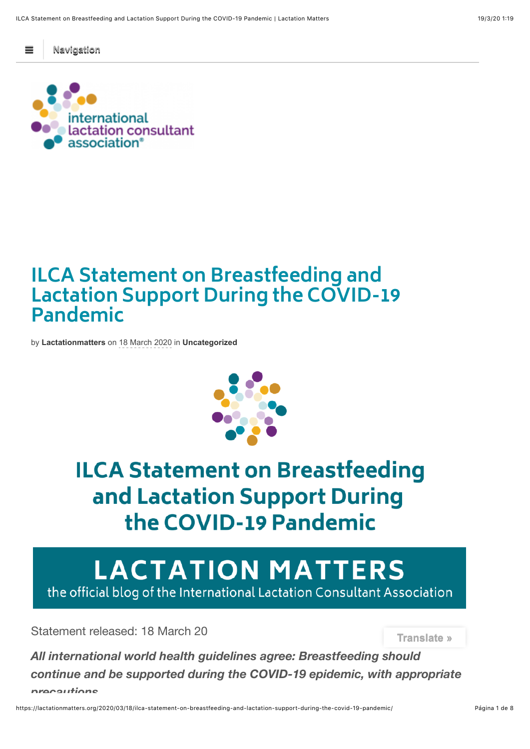! **Navigation**



## **ILCA Statement on Breastfeeding and Lactation Support During the COVID-19 Pandemic**

by **[Lactationmatters](https://lactationmatters.org/author/lactationmatters/)** on 18 March 2020 in **[Uncategorized](https://lactationmatters.org/category/uncategorized/)**



# **ILCA Statement on Breastfeeding** and Lactation Support During the COVID-19 Pandemic

# **LACTATION MATTERS**

the official blog of the International Lactation Consultant Association

Statement released: 18 March 20

**Translate »**

*All international world health guidelines agree: Breastfeeding should continue and be supported during the COVID-19 epidemic, with appropriate precautions.*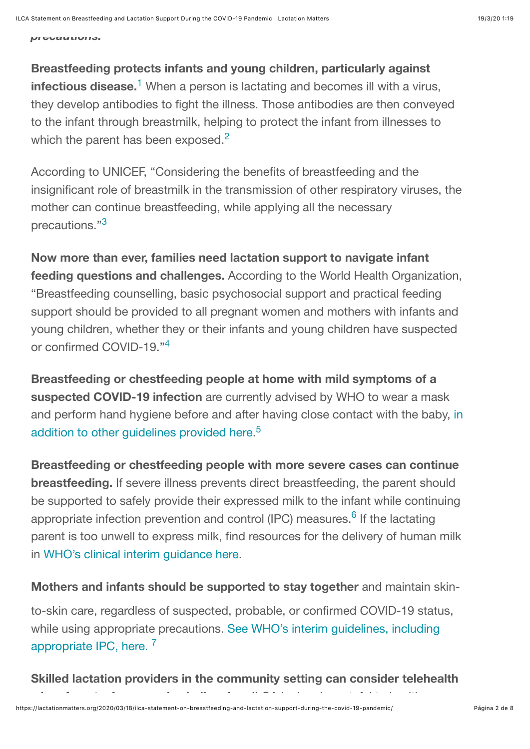*precautions.*

## <span id="page-1-0"></span>**Breastfeeding protects infants and young children, particularly against**

infectious disease.<sup>[1](#page-2-0)</sup> When a person is lactating and becomes ill with a virus, they develop antibodies to fight the illness. Those antibodies are then conveyed to the infant through breastmilk, helping to protect the infant from illnesses to which the parent has been exposed. $2$ 

<span id="page-1-1"></span>According to UNICEF, "Considering the benefits of breastfeeding and the insignificant role of breastmilk in the transmission of other respiratory viruses, the mother can continue breastfeeding, while applying all the necessary precautions."<sup>[3](#page-2-2)</sup>

<span id="page-1-2"></span>**Now more than ever, families need lactation support to navigate infant feeding questions and challenges.** According to the World Health Organization, "Breastfeeding counselling, basic psychosocial support and practical feeding support should be provided to all pregnant women and mothers with infants and young children, whether they or their infants and young children have suspected or confirmed COVID-19."<sup>[4](#page-2-3)</sup>

<span id="page-1-3"></span>**Breastfeeding or chestfeeding people at home with mild symptoms of a suspected COVID-19 infection** are currently advised by WHO to wear a mask [and perform hand hygiene before and after having close contact with the baby, in](https://www.who.int/publications-detail/home-care-for-patients-with-suspected-novel-coronavirus-(ncov)-infection-presenting-with-mild-symptoms-and-management-of-contacts) addition to other guidelines provided here.<sup>[5](#page-2-4)</sup>

<span id="page-1-5"></span><span id="page-1-4"></span>**Breastfeeding or chestfeeding people with more severe cases can continue breastfeeding.** If severe illness prevents direct breastfeeding, the parent should be supported to safely provide their expressed milk to the infant while continuing appropriate infection prevention and control (IPC) measures.<sup>6</sup> If the lactating parent is too unwell to express milk, find resources for the delivery of human milk in [WHO's clinical interim guidance here](https://www.who.int/publications-detail/clinical-management-of-severe-acute-respiratory-infection-when-novel-coronavirus-(ncov)-infection-is-suspected).

**Mothers and infants should be supported to stay together** and maintain skin-

<span id="page-1-6"></span>to-skin care, regardless of suspected, probable, or confirmed COVID-19 status, [while using appropriate precautions. See WHO's interim guidelines, including](https://www.who.int/publications-detail/clinical-management-of-severe-acute-respiratory-infection-when-novel-coronavirus-(ncov)-infection-is-suspected) appropriate IPC, here.<sup>[7](#page-3-1)</sup>

**Skilled lactation providers in the community setting can consider telehealth**

**when face-to-face care is challenging.** ILCA is deeply grateful to health care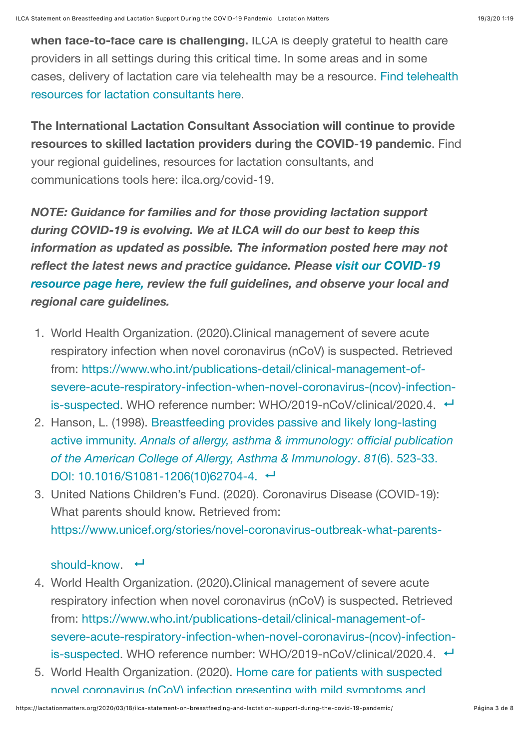**when face-to-face care is challenging.** ILCA is deeply grateful to health care providers in all settings during this critical time. In some areas and in some [cases, delivery of lactation care via telehealth may be a resource. Find telehealth](http://ilca.org/COVID-19) resources for lactation consultants here.

**The International Lactation Consultant Association will continue to provide resources to skilled lactation providers during the COVID-19 pandemic**. Find your regional guidelines, resources for lactation consultants, and communications tools here: ilca.org/covid-19.

*NOTE: Guidance for families and for those providing lactation support during COVID-19 is evolving. We at ILCA will do our best to keep this information as updated as possible. The information posted here may not [reflect the latest news and practice guidance. Please visit our COVID-19](http://ilca.org/covid-19) resource page here, review the full guidelines, and observe your local and regional care guidelines.*

- <span id="page-2-0"></span>1. World Health Organization. (2020).Clinical management of severe acute respiratory infection when novel coronavirus (nCoV) is suspected. Retrieved from: https://www.who.int/publications-detail/clinical-management-of[severe-acute-respiratory-infection-when-novel-coronavirus-\(ncov\)-infection](https://www.who.int/publications-detail/clinical-management-of-severe-acute-respiratory-infection-when-novel-coronavirus-(ncov)-infection-is-suspected)is-suspected. WHO reference number: WHO/2019-nCoV/clinical/2020.4. ←
- <span id="page-2-1"></span>2. [Hanson, L. \(1998\). Breastfeeding provides passive and likely long-lasting](https://www.ncbi.nlm.nih.gov/pubmed/9892025) active immunity. *Annals of allergy, asthma & immunology: official publication of the American College of Allergy, Asthma & Immunology*. *81*(6). 523-33. DOI: [10.1016/S1081-1206\(10\)62704-4.](https://doi.org/10.1016/S1081-1206(10)62704-4) ←
- <span id="page-2-2"></span>3. United Nations Children's Fund. (2020). Coronavirus Disease (COVID-19): What parents should know. Retrieved from: [https://www.unicef.org/stories/novel-coronavirus-outbreak-what-parents-](https://www.unicef.org/stories/novel-coronavirus-outbreak-what-parents-should-know)

#### $should$ -know.  $\leftarrow$

- <span id="page-2-3"></span>4. World Health Organization. (2020).Clinical management of severe acute respiratory infection when novel coronavirus (nCoV) is suspected. Retrieved from: https://www.who.int/publications-detail/clinical-management-of[severe-acute-respiratory-infection-when-novel-coronavirus-\(ncov\)-infection](https://www.who.int/publications-detail/clinical-management-of-severe-acute-respiratory-infection-when-novel-coronavirus-(ncov)-infection-is-suspected)is-suspected. WHO reference number: WHO/2019-nCoV/clinical/2020.4. ←
- <span id="page-2-4"></span>5. [World Health Organization. \(2020\). Home care for patients with suspected](https://www.who.int/publications-detail/home-care-for-patients-with-suspected-novel-coronavirus-(ncov)-infection-presenting-with-mild-symptoms-and-management-of-contacts) novel coronavirus (nCoV) infection presenting with mild symptoms and